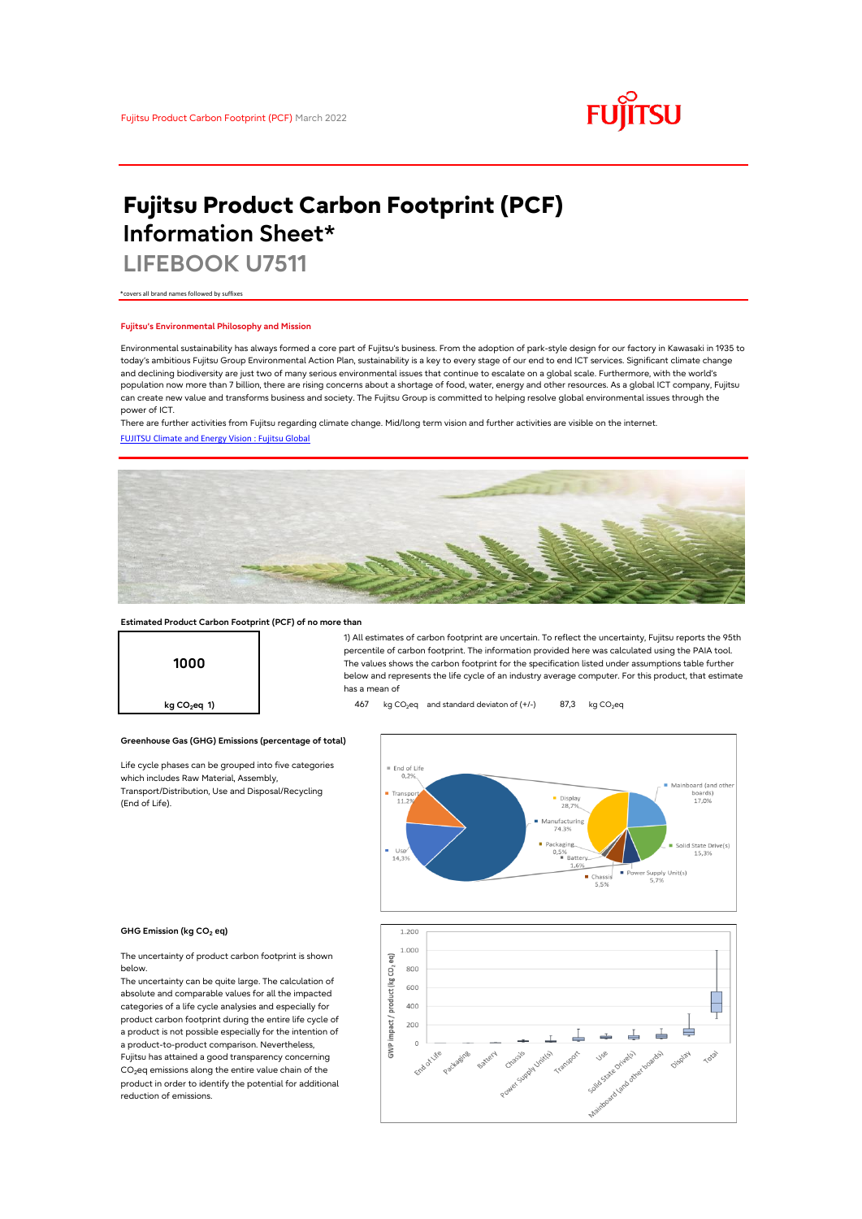

# **Fujitsu Product Carbon Footprint (PCF) Information Sheet\***

**LIFEBOOK U7511**

\*covers all brand names followed by suffixes

## **Fujitsu's Environmental Philosophy and Mission**

Environmental sustainability has always formed a core part of Fujitsu's business. From the adoption of park-style design for our factory in Kawasaki in 1935 to today's ambitious Fujitsu Group Environmental Action Plan, sustainability is a key to every stage of our end to end ICT services. Significant climate change and declining biodiversity are just two of many serious environmental issues that continue to escalate on a global scale. Furthermore, with the world's population now more than 7 billion, there are rising concerns about a shortage of food, water, energy and other resources. As a global ICT company, Fujitsu can create new value and transforms business and society. The Fujitsu Group is committed to helping resolve global environmental issues through the power of ICT.

[FUJITSU Climate and Energy Vision : Fujitsu Global](https://www.fujitsu.com/global/about/environment/climate-energy-vision/) There are further activities from Fujitsu regarding climate change. Mid/long term vision and further activities are visible on the internet.



## **Estimated Product Carbon Footprint (PCF) of no more than**

**1000**

1) All estimates of carbon footprint are uncertain. To reflect the uncertainty, Fujitsu reports the 95th percentile of carbon footprint. The information provided here was calculated using the PAIA tool. The values shows the carbon footprint for the specification listed under assumptions table further below and represents the life cycle of an industry average computer. For this product, that estimate has a mean of

**kg CO<sub>2</sub>eq 1) 467** kg CO<sub>2</sub>eq and standard deviaton of (+/-) 87,3 kg CO<sub>2</sub>eq



#### **GHG Emission (kg CO2 eq)**

(End of Life).

The uncertainty of product carbon footprint is shown below.

Life cycle phases can be grouped into five categories

**Greenhouse Gas (GHG) Emissions (percentage of total)**

which includes Raw Material, Assembly, Transport/Distribution, Use and Disposal/Recycling

The uncertainty can be quite large. The calculation of absolute and comparable values for all the impacted categories of a life cycle analysies and especially for product carbon footprint during the entire life cycle of a product is not possible especially for the intention of a product-to-product comparison. Nevertheless, Fujitsu has attained a good transparency concerning CO<sub>2</sub>eq emissions along the entire value chain of the product in order to identify the potential for additional reduction of emissions.